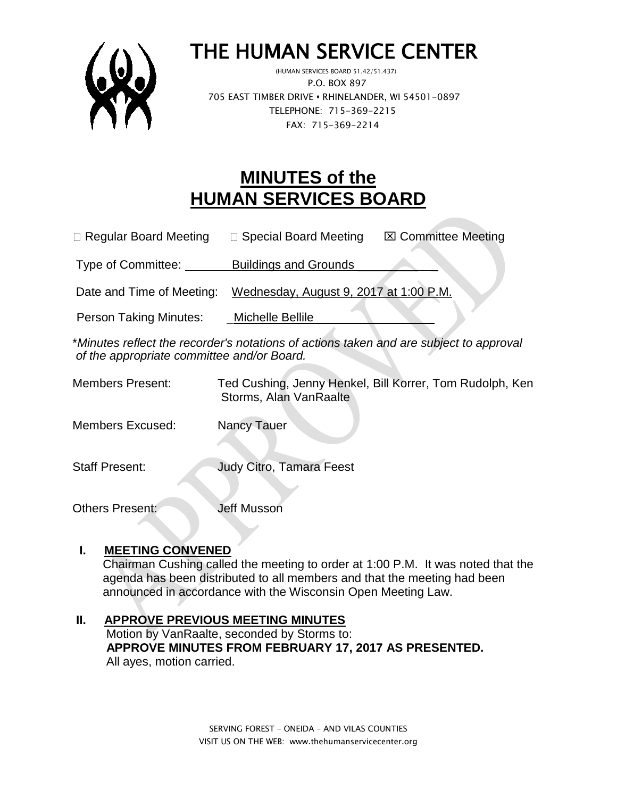

# THE HUMAN SERVICE CENTER

 (HUMAN SERVICES BOARD 51.42/51.437) P.O. BOX 897 705 EAST TIMBER DRIVE **•** RHINELANDER, WI 54501-0897 TELEPHONE: 715-369-2215 FAX: 715-369-2214

## **MINUTES of the HUMAN SERVICES BOARD**

 $\Box$  Regular Board Meeting  $\Box$  Special Board Meeting  $\Box$  Committee Meeting

Type of Committee: **Buildings and Grounds** 

Date and Time of Meeting: Wednesday, August 9, 2017 at 1:00 P.M.

Person Taking Minutes: \_\_\_\_Michelle Bellile

\**Minutes reflect the recorder's notations of actions taken and are subject to approval of the appropriate committee and/or Board.*

Members Present: Ted Cushing, Jenny Henkel, Bill Korrer, Tom Rudolph, Ken Storms, Alan VanRaalte

Members Excused: Nancy Tauer

Staff Present: Judy Citro, Tamara Feest

Others Present: **Jeff Musson** 

#### **I. MEETING CONVENED**

 Chairman Cushing called the meeting to order at 1:00 P.M. It was noted that the agenda has been distributed to all members and that the meeting had been announced in accordance with the Wisconsin Open Meeting Law.

#### **II. APPROVE PREVIOUS MEETING MINUTES**

 Motion by VanRaalte, seconded by Storms to:  **APPROVE MINUTES FROM FEBRUARY 17, 2017 AS PRESENTED.** All ayes, motion carried.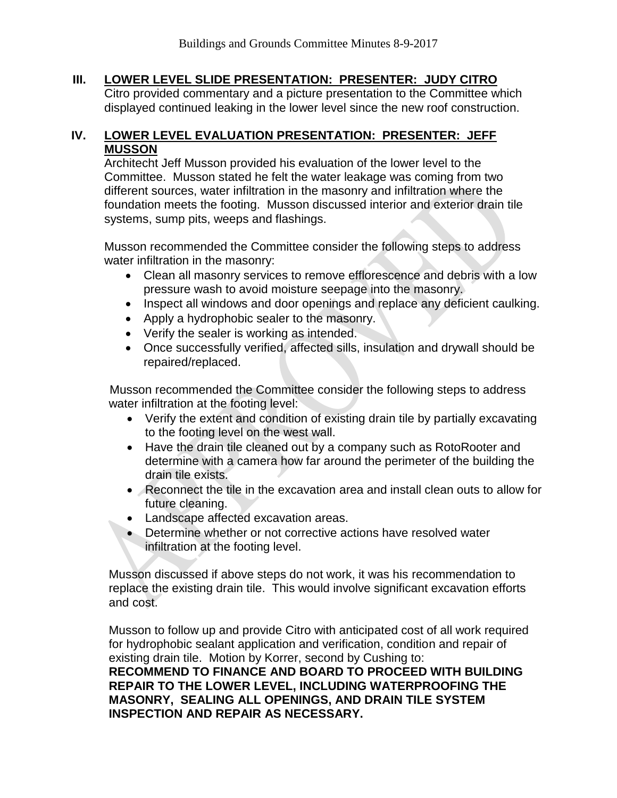#### **III. LOWER LEVEL SLIDE PRESENTATION: PRESENTER: JUDY CITRO**

Citro provided commentary and a picture presentation to the Committee which displayed continued leaking in the lower level since the new roof construction.

#### **IV. LOWER LEVEL EVALUATION PRESENTATION: PRESENTER: JEFF MUSSON**

Architecht Jeff Musson provided his evaluation of the lower level to the Committee. Musson stated he felt the water leakage was coming from two different sources, water infiltration in the masonry and infiltration where the foundation meets the footing. Musson discussed interior and exterior drain tile systems, sump pits, weeps and flashings.

Musson recommended the Committee consider the following steps to address water infiltration in the masonry:

- Clean all masonry services to remove efflorescence and debris with a low pressure wash to avoid moisture seepage into the masonry.
- Inspect all windows and door openings and replace any deficient caulking.
- Apply a hydrophobic sealer to the masonry.
- Verify the sealer is working as intended.
- Once successfully verified, affected sills, insulation and drywall should be repaired/replaced.

Musson recommended the Committee consider the following steps to address water infiltration at the footing level:

- Verify the extent and condition of existing drain tile by partially excavating to the footing level on the west wall.
- Have the drain tile cleaned out by a company such as RotoRooter and determine with a camera how far around the perimeter of the building the drain tile exists.
- Reconnect the tile in the excavation area and install clean outs to allow for future cleaning.
- Landscape affected excavation areas.
- Determine whether or not corrective actions have resolved water infiltration at the footing level.

Musson discussed if above steps do not work, it was his recommendation to replace the existing drain tile. This would involve significant excavation efforts and cost.

Musson to follow up and provide Citro with anticipated cost of all work required for hydrophobic sealant application and verification, condition and repair of existing drain tile. Motion by Korrer, second by Cushing to: **RECOMMEND TO FINANCE AND BOARD TO PROCEED WITH BUILDING REPAIR TO THE LOWER LEVEL, INCLUDING WATERPROOFING THE MASONRY, SEALING ALL OPENINGS, AND DRAIN TILE SYSTEM INSPECTION AND REPAIR AS NECESSARY.**